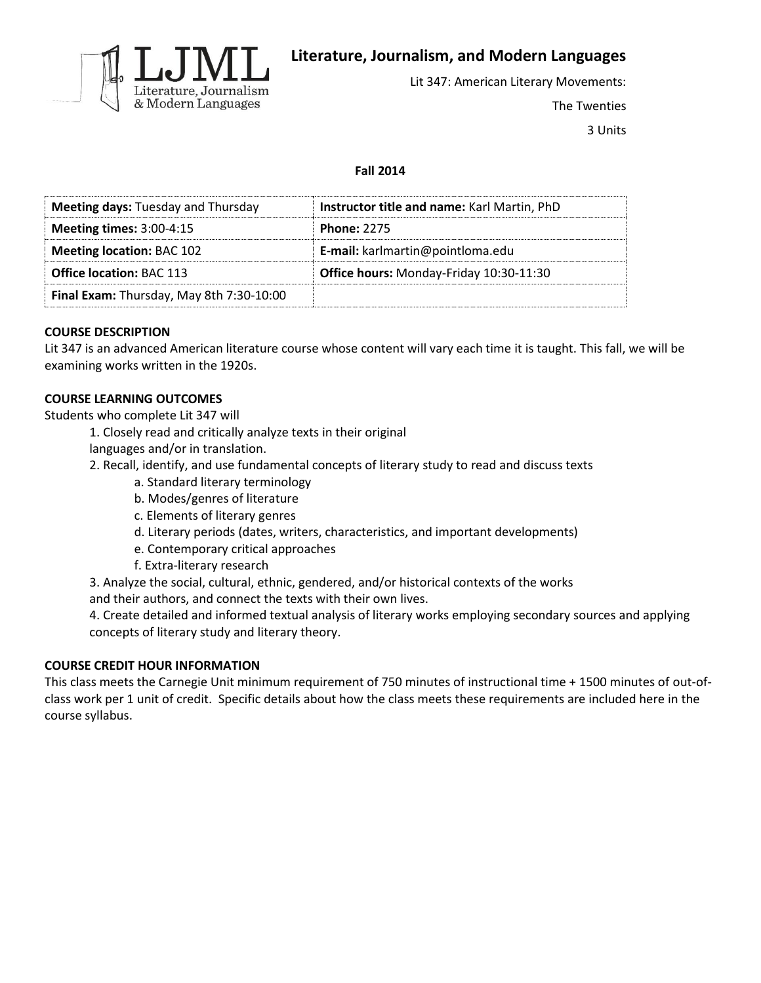

**Literature, Journalism, and Modern Languages**

Lit 347: American Literary Movements:

The Twenties

3 Units

# **Fall 2014**

| <b>Meeting days: Tuesday and Thursday</b> | Instructor title and name: Karl Martin, PhD |
|-------------------------------------------|---------------------------------------------|
| <b>Meeting times: 3:00-4:15</b>           | <b>Phone: 2275</b>                          |
| <b>Meeting location: BAC 102</b>          | E-mail: karlmartin@pointloma.edu            |
| <b>Office location: BAC 113</b>           | Office hours: Monday-Friday 10:30-11:30     |
| Final Exam: Thursday, May 8th 7:30-10:00  |                                             |

## **COURSE DESCRIPTION**

Lit 347 is an advanced American literature course whose content will vary each time it is taught. This fall, we will be examining works written in the 1920s.

## **COURSE LEARNING OUTCOMES**

Students who complete Lit 347 will

- 1. Closely read and critically analyze texts in their original
- languages and/or in translation.
- 2. Recall, identify, and use fundamental concepts of literary study to read and discuss texts
	- a. Standard literary terminology
	- b. Modes/genres of literature
	- c. Elements of literary genres
	- d. Literary periods (dates, writers, characteristics, and important developments)
	- e. Contemporary critical approaches
	- f. Extra-literary research

3. Analyze the social, cultural, ethnic, gendered, and/or historical contexts of the works and their authors, and connect the texts with their own lives.

4. Create detailed and informed textual analysis of literary works employing secondary sources and applying concepts of literary study and literary theory.

## **COURSE CREDIT HOUR INFORMATION**

This class meets the Carnegie Unit minimum requirement of 750 minutes of instructional time + 1500 minutes of out-ofclass work per 1 unit of credit. Specific details about how the class meets these requirements are included here in the course syllabus.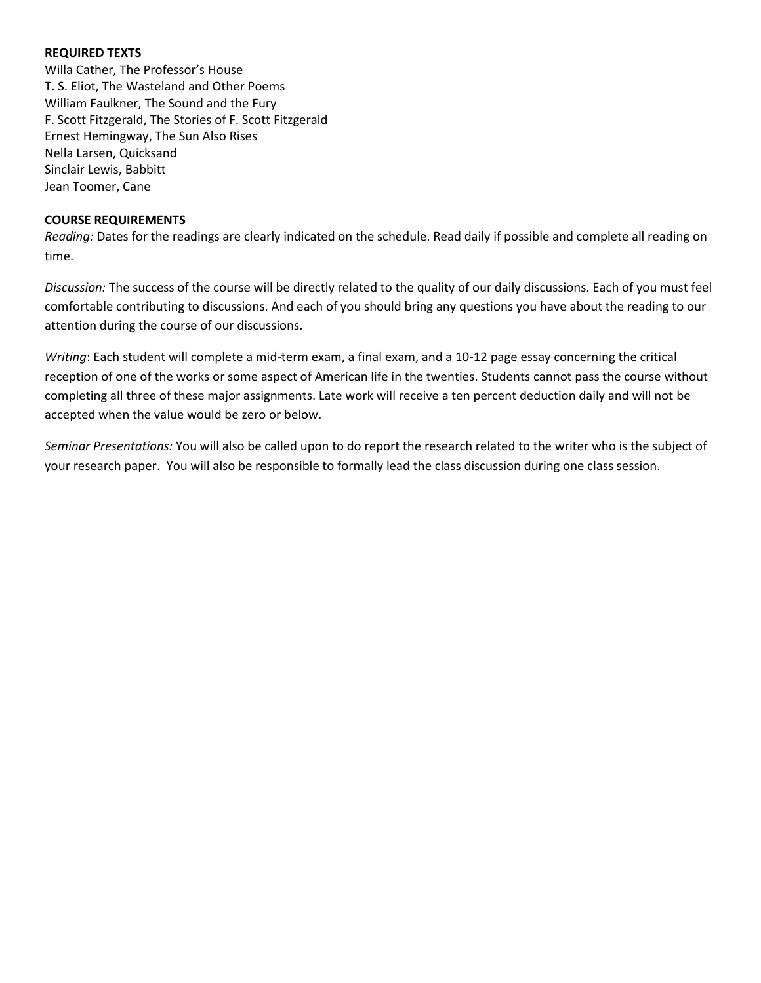## **REQUIRED TEXTS**

Willa Cather, The Professor's House T. S. Eliot, The Wasteland and Other Poems William Faulkner, The Sound and the Fury F. Scott Fitzgerald, The Stories of F. Scott Fitzgerald Ernest Hemingway, The Sun Also Rises Nella Larsen, Quicksand Sinclair Lewis, Babbitt Jean Toomer, Cane

## **COURSE REQUIREMENTS**

*Reading:* Dates for the readings are clearly indicated on the schedule. Read daily if possible and complete all reading on time.

*Discussion:* The success of the course will be directly related to the quality of our daily discussions. Each of you must feel comfortable contributing to discussions. And each of you should bring any questions you have about the reading to our attention during the course of our discussions.

*Writing*: Each student will complete a mid-term exam, a final exam, and a 10-12 page essay concerning the critical reception of one of the works or some aspect of American life in the twenties. Students cannot pass the course without completing all three of these major assignments. Late work will receive a ten percent deduction daily and will not be accepted when the value would be zero or below.

*Seminar Presentations:* You will also be called upon to do report the research related to the writer who is the subject of your research paper. You will also be responsible to formally lead the class discussion during one class session.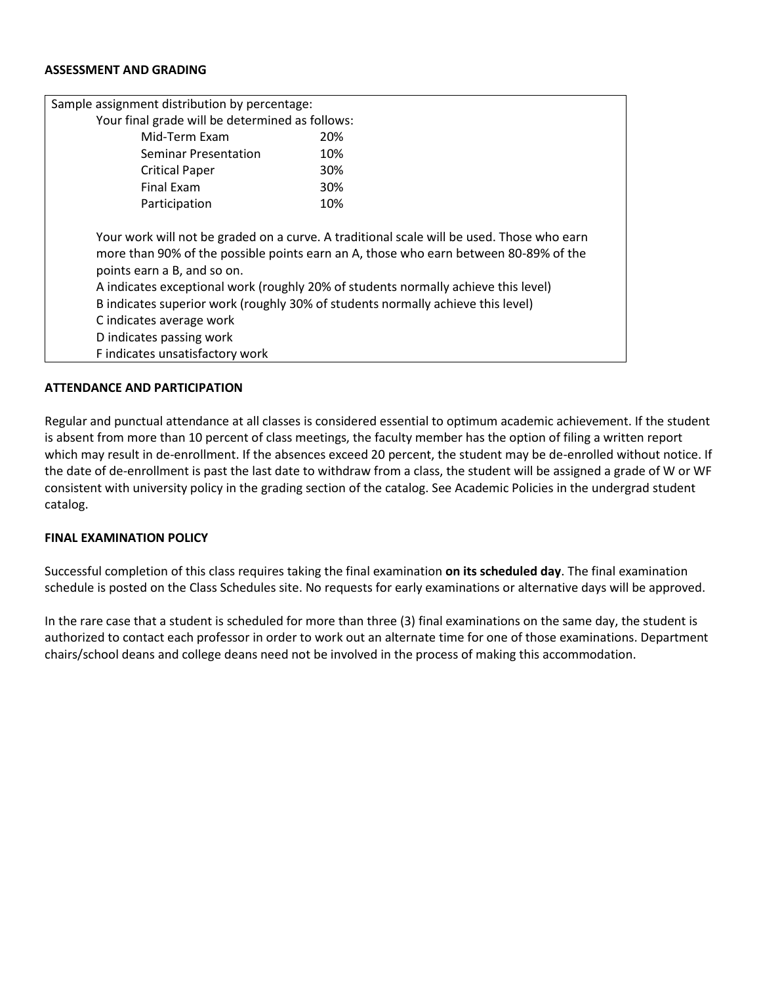### **ASSESSMENT AND GRADING**

| Sample assignment distribution by percentage:                                                                          |                                                                                                                                                                                                                                                                                                                                                            |
|------------------------------------------------------------------------------------------------------------------------|------------------------------------------------------------------------------------------------------------------------------------------------------------------------------------------------------------------------------------------------------------------------------------------------------------------------------------------------------------|
| Your final grade will be determined as follows:                                                                        |                                                                                                                                                                                                                                                                                                                                                            |
| Mid-Term Exam                                                                                                          | 20%                                                                                                                                                                                                                                                                                                                                                        |
| Seminar Presentation                                                                                                   | 10%                                                                                                                                                                                                                                                                                                                                                        |
| <b>Critical Paper</b>                                                                                                  | <b>30%</b>                                                                                                                                                                                                                                                                                                                                                 |
| Final Exam                                                                                                             | 30%                                                                                                                                                                                                                                                                                                                                                        |
| Participation                                                                                                          | 10%                                                                                                                                                                                                                                                                                                                                                        |
| points earn a B, and so on.<br>C indicates average work<br>D indicates passing work<br>F indicates unsatisfactory work | Your work will not be graded on a curve. A traditional scale will be used. Those who earn<br>more than 90% of the possible points earn an A, those who earn between 80-89% of the<br>A indicates exceptional work (roughly 20% of students normally achieve this level)<br>B indicates superior work (roughly 30% of students normally achieve this level) |

#### **ATTENDANCE AND PARTICIPATION**

Regular and punctual attendance at all classes is considered essential to optimum academic achievement. If the student is absent from more than 10 percent of class meetings, the faculty member has the option of filing a written report which may result in de-enrollment. If the absences exceed 20 percent, the student may be de-enrolled without notice. If the date of de-enrollment is past the last date to withdraw from a class, the student will be assigned a grade of W or WF consistent with university policy in the grading section of the catalog. See Academic Policies in the undergrad student catalog.

#### **FINAL EXAMINATION POLICY**

Successful completion of this class requires taking the final examination **on its scheduled day**. The final examination schedule is posted on the Class Schedules site. No requests for early examinations or alternative days will be approved.

In the rare case that a student is scheduled for more than three (3) final examinations on the same day, the student is authorized to contact each professor in order to work out an alternate time for one of those examinations. Department chairs/school deans and college deans need not be involved in the process of making this accommodation.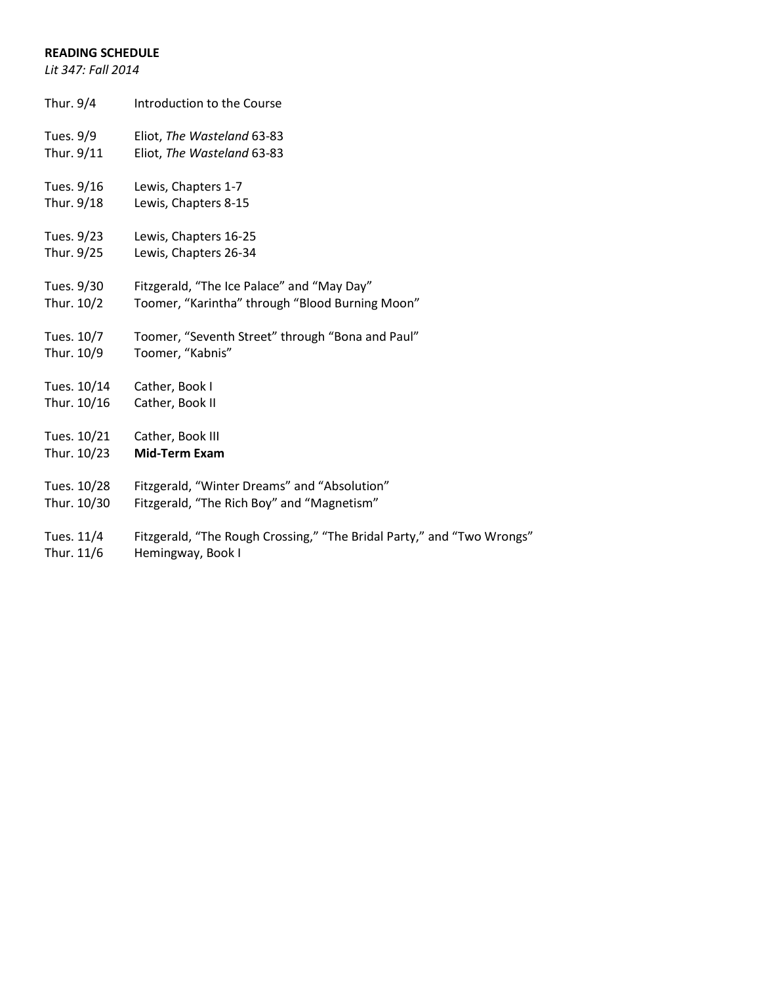# **READING SCHEDULE**

*Lit 347: Fall 2014*

| Thur. 9/4   | Introduction to the Course                                             |
|-------------|------------------------------------------------------------------------|
| Tues. 9/9   | Eliot, The Wasteland 63-83                                             |
| Thur. 9/11  | Eliot, The Wasteland 63-83                                             |
| Tues. 9/16  | Lewis, Chapters 1-7                                                    |
| Thur. 9/18  | Lewis, Chapters 8-15                                                   |
| Tues. 9/23  | Lewis, Chapters 16-25                                                  |
| Thur. 9/25  | Lewis, Chapters 26-34                                                  |
| Tues. 9/30  | Fitzgerald, "The Ice Palace" and "May Day"                             |
| Thur. 10/2  | Toomer, "Karintha" through "Blood Burning Moon"                        |
| Tues. 10/7  | Toomer, "Seventh Street" through "Bona and Paul"                       |
| Thur. 10/9  | Toomer, "Kabnis"                                                       |
| Tues. 10/14 | Cather, Book I                                                         |
| Thur. 10/16 | Cather, Book II                                                        |
| Tues. 10/21 | Cather, Book III                                                       |
| Thur. 10/23 | <b>Mid-Term Exam</b>                                                   |
| Tues. 10/28 | Fitzgerald, "Winter Dreams" and "Absolution"                           |
| Thur. 10/30 | Fitzgerald, "The Rich Boy" and "Magnetism"                             |
| Tues. 11/4  | Fitzgerald, "The Rough Crossing," "The Bridal Party," and "Two Wrongs" |

Thur. 11/6 Hemingway, Book I